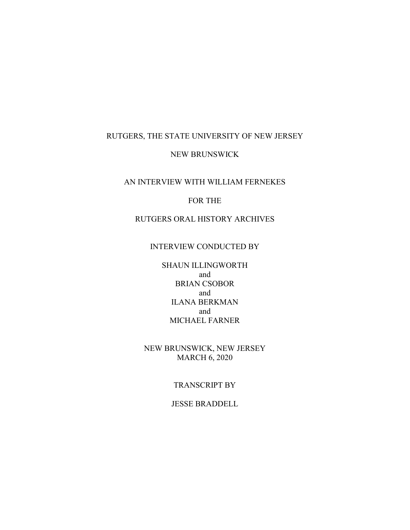## RUTGERS, THE STATE UNIVERSITY OF NEW JERSEY

#### NEW BRUNSWICK

### AN INTERVIEW WITH WILLIAM FERNEKES

### FOR THE

# RUTGERS ORAL HISTORY ARCHIVES

# INTERVIEW CONDUCTED BY

SHAUN ILLINGWORTH and BRIAN CSOBOR and ILANA BERKMAN and MICHAEL FARNER

NEW BRUNSWICK, NEW JERSEY MARCH 6, 2020

#### TRANSCRIPT BY

#### JESSE BRADDELL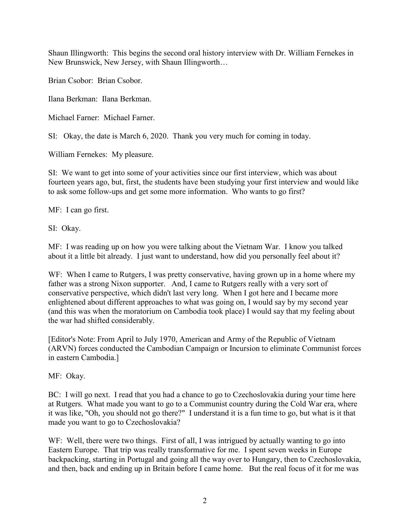Shaun Illingworth: This begins the second oral history interview with Dr. William Fernekes in New Brunswick, New Jersey, with Shaun Illingworth…

Brian Csobor: Brian Csobor.

Ilana Berkman: Ilana Berkman.

Michael Farner: Michael Farner.

SI: Okay, the date is March 6, 2020. Thank you very much for coming in today.

William Fernekes: My pleasure.

SI: We want to get into some of your activities since our first interview, which was about fourteen years ago, but, first, the students have been studying your first interview and would like to ask some follow-ups and get some more information. Who wants to go first?

MF: I can go first.

SI: Okay.

MF: I was reading up on how you were talking about the Vietnam War. I know you talked about it a little bit already. I just want to understand, how did you personally feel about it?

WF: When I came to Rutgers, I was pretty conservative, having grown up in a home where my father was a strong Nixon supporter. And, I came to Rutgers really with a very sort of conservative perspective, which didn't last very long. When I got here and I became more enlightened about different approaches to what was going on, I would say by my second year (and this was when the moratorium on Cambodia took place) I would say that my feeling about the war had shifted considerably.

[Editor's Note: From April to July 1970, American and Army of the Republic of Vietnam (ARVN) forces conducted the Cambodian Campaign or Incursion to eliminate Communist forces in eastern Cambodia.]

MF: Okay.

BC: I will go next. I read that you had a chance to go to Czechoslovakia during your time here at Rutgers. What made you want to go to a Communist country during the Cold War era, where it was like, "Oh, you should not go there?" I understand it is a fun time to go, but what is it that made you want to go to Czechoslovakia?

WF: Well, there were two things. First of all, I was intrigued by actually wanting to go into Eastern Europe. That trip was really transformative for me. I spent seven weeks in Europe backpacking, starting in Portugal and going all the way over to Hungary, then to Czechoslovakia, and then, back and ending up in Britain before I came home. But the real focus of it for me was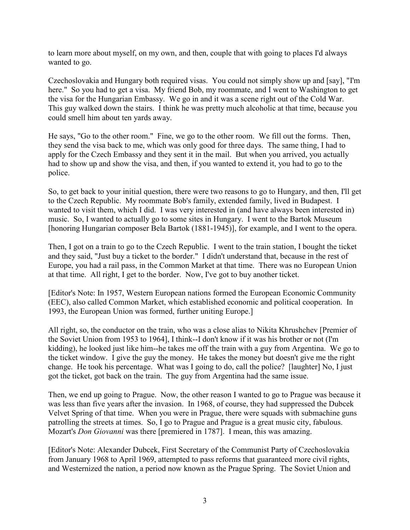to learn more about myself, on my own, and then, couple that with going to places I'd always wanted to go.

Czechoslovakia and Hungary both required visas. You could not simply show up and [say], "I'm here." So you had to get a visa. My friend Bob, my roommate, and I went to Washington to get the visa for the Hungarian Embassy. We go in and it was a scene right out of the Cold War. This guy walked down the stairs. I think he was pretty much alcoholic at that time, because you could smell him about ten yards away.

He says, "Go to the other room." Fine, we go to the other room. We fill out the forms. Then, they send the visa back to me, which was only good for three days. The same thing, I had to apply for the Czech Embassy and they sent it in the mail. But when you arrived, you actually had to show up and show the visa, and then, if you wanted to extend it, you had to go to the police.

So, to get back to your initial question, there were two reasons to go to Hungary, and then, I'll get to the Czech Republic. My roommate Bob's family, extended family, lived in Budapest. I wanted to visit them, which I did. I was very interested in (and have always been interested in) music. So, I wanted to actually go to some sites in Hungary. I went to the Bartok Museum [honoring Hungarian composer Bela Bartok (1881-1945)], for example, and I went to the opera.

Then, I got on a train to go to the Czech Republic. I went to the train station, I bought the ticket and they said, "Just buy a ticket to the border." I didn't understand that, because in the rest of Europe, you had a rail pass, in the Common Market at that time. There was no European Union at that time. All right, I get to the border. Now, I've got to buy another ticket.

[Editor's Note: In 1957, Western European nations formed the European Economic Community (EEC), also called Common Market, which established economic and political cooperation. In 1993, the European Union was formed, further uniting Europe.]

All right, so, the conductor on the train, who was a close alias to Nikita Khrushchev [Premier of the Soviet Union from 1953 to 1964], I think--I don't know if it was his brother or not (I'm kidding), he looked just like him--he takes me off the train with a guy from Argentina. We go to the ticket window. I give the guy the money. He takes the money but doesn't give me the right change. He took his percentage. What was I going to do, call the police? [laughter] No, I just got the ticket, got back on the train. The guy from Argentina had the same issue.

Then, we end up going to Prague. Now, the other reason I wanted to go to Prague was because it was less than five years after the invasion. In 1968, of course, they had suppressed the Dubcek Velvet Spring of that time. When you were in Prague, there were squads with submachine guns patrolling the streets at times. So, I go to Prague and Prague is a great music city, fabulous. Mozart's *Don Giovanni* was there [premiered in 1787]. I mean, this was amazing.

[Editor's Note: Alexander Dubcek, First Secretary of the Communist Party of Czechoslovakia from January 1968 to April 1969, attempted to pass reforms that guaranteed more civil rights, and Westernized the nation, a period now known as the Prague Spring. The Soviet Union and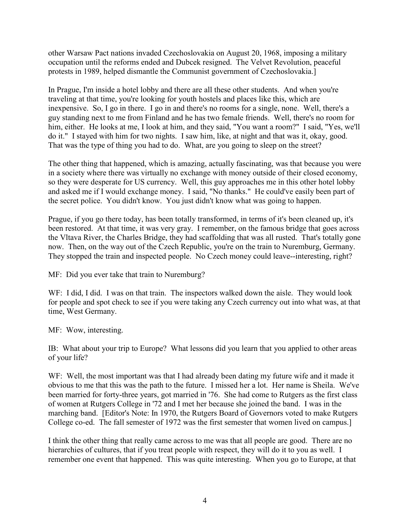other Warsaw Pact nations invaded Czechoslovakia on August 20, 1968, imposing a military occupation until the reforms ended and Dubcek resigned. The Velvet Revolution, peaceful protests in 1989, helped dismantle the Communist government of Czechoslovakia.]

In Prague, I'm inside a hotel lobby and there are all these other students. And when you're traveling at that time, you're looking for youth hostels and places like this, which are inexpensive. So, I go in there. I go in and there's no rooms for a single, none. Well, there's a guy standing next to me from Finland and he has two female friends. Well, there's no room for him, either. He looks at me, I look at him, and they said, "You want a room?" I said, "Yes, we'll do it." I stayed with him for two nights. I saw him, like, at night and that was it, okay, good. That was the type of thing you had to do. What, are you going to sleep on the street?

The other thing that happened, which is amazing, actually fascinating, was that because you were in a society where there was virtually no exchange with money outside of their closed economy, so they were desperate for US currency. Well, this guy approaches me in this other hotel lobby and asked me if I would exchange money. I said, "No thanks." He could've easily been part of the secret police. You didn't know. You just didn't know what was going to happen.

Prague, if you go there today, has been totally transformed, in terms of it's been cleaned up, it's been restored. At that time, it was very gray. I remember, on the famous bridge that goes across the Vltava River, the Charles Bridge, they had scaffolding that was all rusted. That's totally gone now. Then, on the way out of the Czech Republic, you're on the train to Nuremburg, Germany. They stopped the train and inspected people. No Czech money could leave--interesting, right?

MF: Did you ever take that train to Nuremburg?

WF: I did, I did. I was on that train. The inspectors walked down the aisle. They would look for people and spot check to see if you were taking any Czech currency out into what was, at that time, West Germany.

MF: Wow, interesting.

IB: What about your trip to Europe? What lessons did you learn that you applied to other areas of your life?

WF: Well, the most important was that I had already been dating my future wife and it made it obvious to me that this was the path to the future. I missed her a lot. Her name is Sheila. We've been married for forty-three years, got married in '76. She had come to Rutgers as the first class of women at Rutgers College in '72 and I met her because she joined the band. I was in the marching band. [Editor's Note: In 1970, the Rutgers Board of Governors voted to make Rutgers College co-ed. The fall semester of 1972 was the first semester that women lived on campus.]

I think the other thing that really came across to me was that all people are good. There are no hierarchies of cultures, that if you treat people with respect, they will do it to you as well. I remember one event that happened. This was quite interesting. When you go to Europe, at that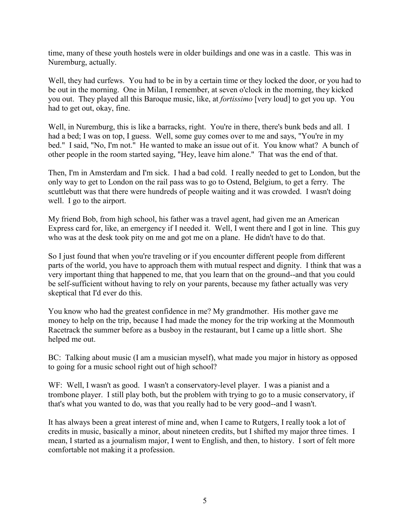time, many of these youth hostels were in older buildings and one was in a castle. This was in Nuremburg, actually.

Well, they had curfews. You had to be in by a certain time or they locked the door, or you had to be out in the morning. One in Milan, I remember, at seven o'clock in the morning, they kicked you out. They played all this Baroque music, like, at *fortissimo* [very loud] to get you up. You had to get out, okay, fine.

Well, in Nuremburg, this is like a barracks, right. You're in there, there's bunk beds and all. I had a bed; I was on top, I guess. Well, some guy comes over to me and says, "You're in my bed." I said, "No, I'm not." He wanted to make an issue out of it. You know what? A bunch of other people in the room started saying, "Hey, leave him alone." That was the end of that.

Then, I'm in Amsterdam and I'm sick. I had a bad cold. I really needed to get to London, but the only way to get to London on the rail pass was to go to Ostend, Belgium, to get a ferry. The scuttlebutt was that there were hundreds of people waiting and it was crowded. I wasn't doing well. I go to the airport.

My friend Bob, from high school, his father was a travel agent, had given me an American Express card for, like, an emergency if I needed it. Well, I went there and I got in line. This guy who was at the desk took pity on me and got me on a plane. He didn't have to do that.

So I just found that when you're traveling or if you encounter different people from different parts of the world, you have to approach them with mutual respect and dignity. I think that was a very important thing that happened to me, that you learn that on the ground--and that you could be self-sufficient without having to rely on your parents, because my father actually was very skeptical that I'd ever do this.

You know who had the greatest confidence in me? My grandmother. His mother gave me money to help on the trip, because I had made the money for the trip working at the Monmouth Racetrack the summer before as a busboy in the restaurant, but I came up a little short. She helped me out.

BC: Talking about music (I am a musician myself), what made you major in history as opposed to going for a music school right out of high school?

WF: Well, I wasn't as good. I wasn't a conservatory-level player. I was a pianist and a trombone player. I still play both, but the problem with trying to go to a music conservatory, if that's what you wanted to do, was that you really had to be very good--and I wasn't.

It has always been a great interest of mine and, when I came to Rutgers, I really took a lot of credits in music, basically a minor, about nineteen credits, but I shifted my major three times. I mean, I started as a journalism major, I went to English, and then, to history. I sort of felt more comfortable not making it a profession.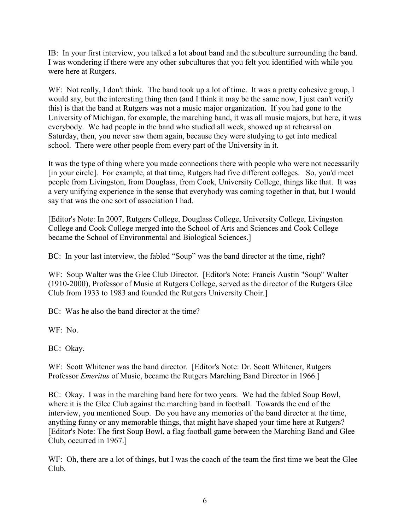IB: In your first interview, you talked a lot about band and the subculture surrounding the band. I was wondering if there were any other subcultures that you felt you identified with while you were here at Rutgers.

WF: Not really, I don't think. The band took up a lot of time. It was a pretty cohesive group, I would say, but the interesting thing then (and I think it may be the same now, I just can't verify this) is that the band at Rutgers was not a music major organization. If you had gone to the University of Michigan, for example, the marching band, it was all music majors, but here, it was everybody. We had people in the band who studied all week, showed up at rehearsal on Saturday, then, you never saw them again, because they were studying to get into medical school. There were other people from every part of the University in it.

It was the type of thing where you made connections there with people who were not necessarily [in your circle]. For example, at that time, Rutgers had five different colleges. So, you'd meet people from Livingston, from Douglass, from Cook, University College, things like that. It was a very unifying experience in the sense that everybody was coming together in that, but I would say that was the one sort of association I had.

[Editor's Note: In 2007, Rutgers College, Douglass College, University College, Livingston College and Cook College merged into the School of Arts and Sciences and Cook College became the School of Environmental and Biological Sciences.]

BC: In your last interview, the fabled "Soup" was the band director at the time, right?

WF: Soup Walter was the Glee Club Director. [Editor's Note: Francis Austin "Soup" Walter (1910-2000), Professor of Music at Rutgers College, served as the director of the Rutgers Glee Club from 1933 to 1983 and founded the Rutgers University Choir.]

BC: Was he also the band director at the time?

WF: No.

BC: Okay.

WF: Scott Whitener was the band director. [Editor's Note: Dr. Scott Whitener, Rutgers Professor *Emeritus* of Music, became the Rutgers Marching Band Director in 1966.]

BC: Okay. I was in the marching band here for two years. We had the fabled Soup Bowl, where it is the Glee Club against the marching band in football. Towards the end of the interview, you mentioned Soup. Do you have any memories of the band director at the time, anything funny or any memorable things, that might have shaped your time here at Rutgers? [Editor's Note: The first Soup Bowl, a flag football game between the Marching Band and Glee Club, occurred in 1967.]

WF: Oh, there are a lot of things, but I was the coach of the team the first time we beat the Glee Club.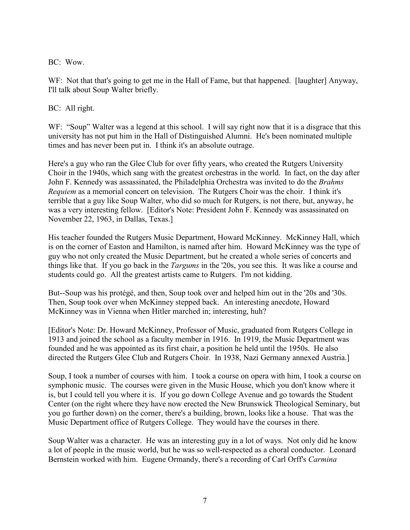BC: Wow.

WF: Not that that's going to get me in the Hall of Fame, but that happened. [laughter] Anyway, I'll talk about Soup Walter briefly.

BC: All right.

WF: "Soup" Walter was a legend at this school. I will say right now that it is a disgrace that this university has not put him in the Hall of Distinguished Alumni. He's been nominated multiple times and has never been put in. I think it's an absolute outrage.

Here's a guy who ran the Glee Club for over fifty years, who created the Rutgers University Choir in the 1940s, which sang with the greatest orchestras in the world. In fact, on the day after John F. Kennedy was assassinated, the Philadelphia Orchestra was invited to do the *Brahms Requiem* as a memorial concert on television. The Rutgers Choir was the choir. I think it's terrible that a guy like Soup Walter, who did so much for Rutgers, is not there, but, anyway, he was a very interesting fellow. [Editor's Note: President John F. Kennedy was assassinated on November 22, 1963, in Dallas, Texas.]

His teacher founded the Rutgers Music Department, Howard McKinney. McKinney Hall, which is on the corner of Easton and Hamilton, is named after him. Howard McKinney was the type of guy who not only created the Music Department, but he created a whole series of concerts and things like that. If you go back in the *Targums* in the '20s, you see this. It was like a course and students could go. All the greatest artists came to Rutgers. I'm not kidding.

But--Soup was his protégé, and then, Soup took over and helped him out in the '20s and '30s. Then, Soup took over when McKinney stepped back. An interesting anecdote, Howard McKinney was in Vienna when Hitler marched in; interesting, huh?

[Editor's Note: Dr. Howard McKinney, Professor of Music, graduated from Rutgers College in 1913 and joined the school as a faculty member in 1916. In 1919, the Music Department was founded and he was appointed as its first chair, a position he held until the 1950s. He also directed the Rutgers Glee Club and Rutgers Choir. In 1938, Nazi Germany annexed Austria.]

Soup, I took a number of courses with him. I took a course on opera with him, I took a course on symphonic music. The courses were given in the Music House, which you don't know where it is, but I could tell you where it is. If you go down College Avenue and go towards the Student Center (on the right where they have now erected the New Brunswick Theological Seminary, but you go further down) on the corner, there's a building, brown, looks like a house. That was the Music Department office of Rutgers College. They would have the courses in there.

Soup Walter was a character. He was an interesting guy in a lot of ways. Not only did he know a lot of people in the music world, but he was so well-respected as a choral conductor. Leonard Bernstein worked with him. Eugene Ormandy, there's a recording of Carl Orff's *Carmina*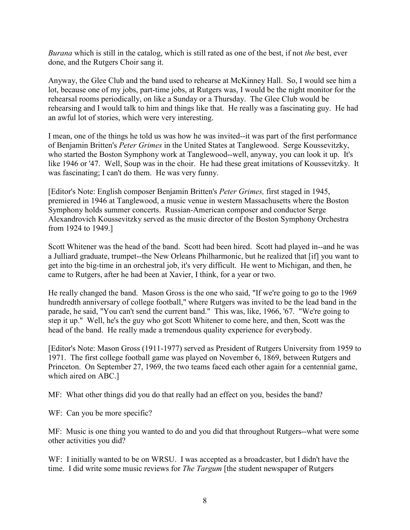*Burana* which is still in the catalog, which is still rated as one of the best, if not *the* best, ever done, and the Rutgers Choir sang it.

Anyway, the Glee Club and the band used to rehearse at McKinney Hall. So, I would see him a lot, because one of my jobs, part-time jobs, at Rutgers was, I would be the night monitor for the rehearsal rooms periodically, on like a Sunday or a Thursday. The Glee Club would be rehearsing and I would talk to him and things like that. He really was a fascinating guy. He had an awful lot of stories, which were very interesting.

I mean, one of the things he told us was how he was invited--it was part of the first performance of Benjamin Britten's *Peter Grimes* in the United States at Tanglewood. Serge Koussevitzky, who started the Boston Symphony work at Tanglewood--well, anyway, you can look it up. It's like 1946 or '47. Well, Soup was in the choir. He had these great imitations of Koussevitzky. It was fascinating; I can't do them. He was very funny.

[Editor's Note: English composer Benjamin Britten's *Peter Grimes,* first staged in 1945, premiered in 1946 at Tanglewood, a music venue in western Massachusetts where the Boston Symphony holds summer concerts. Russian-American composer and conductor Serge Alexandrovich Koussevitzky served as the music director of the Boston Symphony Orchestra from 1924 to 1949.]

Scott Whitener was the head of the band. Scott had been hired. Scott had played in--and he was a Julliard graduate, trumpet--the New Orleans Philharmonic, but he realized that [if] you want to get into the big-time in an orchestral job, it's very difficult. He went to Michigan, and then, he came to Rutgers, after he had been at Xavier, I think, for a year or two.

He really changed the band. Mason Gross is the one who said, "If we're going to go to the 1969 hundredth anniversary of college football," where Rutgers was invited to be the lead band in the parade, he said, "You can't send the current band." This was, like, 1966, '67. "We're going to step it up." Well, he's the guy who got Scott Whitener to come here, and then, Scott was the head of the band. He really made a tremendous quality experience for everybody.

[Editor's Note: Mason Gross (1911-1977) served as President of Rutgers University from 1959 to 1971. The first college football game was played on November 6, 1869, between Rutgers and Princeton. On September 27, 1969, the two teams faced each other again for a centennial game, which aired on ABC.]

MF: What other things did you do that really had an effect on you, besides the band?

WF: Can you be more specific?

MF: Music is one thing you wanted to do and you did that throughout Rutgers--what were some other activities you did?

WF: I initially wanted to be on WRSU. I was accepted as a broadcaster, but I didn't have the time. I did write some music reviews for *The Targum* [the student newspaper of Rutgers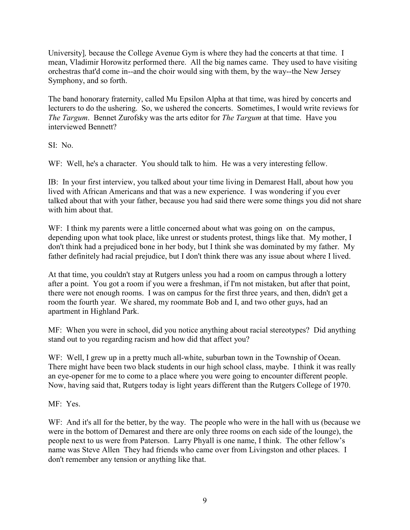University], because the College Avenue Gym is where they had the concerts at that time. I mean, Vladimir Horowitz performed there. All the big names came. They used to have visiting orchestras that'd come in--and the choir would sing with them, by the way--the New Jersey Symphony, and so forth.

The band honorary fraternity, called Mu Epsilon Alpha at that time, was hired by concerts and lecturers to do the ushering. So, we ushered the concerts. Sometimes, I would write reviews for *The Targum*. Bennet Zurofsky was the arts editor for *The Targum* at that time. Have you interviewed Bennett?

SI: No.

WF: Well, he's a character. You should talk to him. He was a very interesting fellow.

IB: In your first interview, you talked about your time living in Demarest Hall, about how you lived with African Americans and that was a new experience. I was wondering if you ever talked about that with your father, because you had said there were some things you did not share with him about that.

WF: I think my parents were a little concerned about what was going on on the campus, depending upon what took place, like unrest or students protest, things like that. My mother, I don't think had a prejudiced bone in her body, but I think she was dominated by my father. My father definitely had racial prejudice, but I don't think there was any issue about where I lived.

At that time, you couldn't stay at Rutgers unless you had a room on campus through a lottery after a point. You got a room if you were a freshman, if I'm not mistaken, but after that point, there were not enough rooms. I was on campus for the first three years, and then, didn't get a room the fourth year. We shared, my roommate Bob and I, and two other guys, had an apartment in Highland Park.

MF: When you were in school, did you notice anything about racial stereotypes? Did anything stand out to you regarding racism and how did that affect you?

WF: Well, I grew up in a pretty much all-white, suburban town in the Township of Ocean. There might have been two black students in our high school class, maybe. I think it was really an eye-opener for me to come to a place where you were going to encounter different people. Now, having said that, Rutgers today is light years different than the Rutgers College of 1970.

MF: Yes.

WF: And it's all for the better, by the way. The people who were in the hall with us (because we were in the bottom of Demarest and there are only three rooms on each side of the lounge), the people next to us were from Paterson. Larry Phyall is one name, I think. The other fellow's name was Steve Allen They had friends who came over from Livingston and other places. I don't remember any tension or anything like that.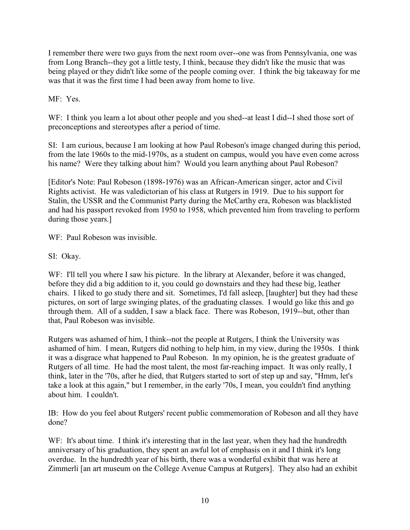I remember there were two guys from the next room over--one was from Pennsylvania, one was from Long Branch--they got a little testy, I think, because they didn't like the music that was being played or they didn't like some of the people coming over. I think the big takeaway for me was that it was the first time I had been away from home to live.

MF: Yes.

WF: I think you learn a lot about other people and you shed--at least I did--I shed those sort of preconceptions and stereotypes after a period of time.

SI: I am curious, because I am looking at how Paul Robeson's image changed during this period, from the late 1960s to the mid-1970s, as a student on campus, would you have even come across his name? Were they talking about him? Would you learn anything about Paul Robeson?

[Editor's Note: Paul Robeson (1898-1976) was an African-American singer, actor and Civil Rights activist. He was valedictorian of his class at Rutgers in 1919. Due to his support for Stalin, the USSR and the Communist Party during the McCarthy era, Robeson was blacklisted and had his passport revoked from 1950 to 1958, which prevented him from traveling to perform during those years.]

WF: Paul Robeson was invisible.

SI: Okay.

WF: I'll tell you where I saw his picture. In the library at Alexander, before it was changed, before they did a big addition to it, you could go downstairs and they had these big, leather chairs. I liked to go study there and sit. Sometimes, I'd fall asleep, [laughter] but they had these pictures, on sort of large swinging plates, of the graduating classes. I would go like this and go through them. All of a sudden, I saw a black face. There was Robeson, 1919--but, other than that, Paul Robeson was invisible.

Rutgers was ashamed of him, I think--not the people at Rutgers, I think the University was ashamed of him. I mean, Rutgers did nothing to help him, in my view, during the 1950s. I think it was a disgrace what happened to Paul Robeson. In my opinion, he is the greatest graduate of Rutgers of all time. He had the most talent, the most far-reaching impact. It was only really, I think, later in the '70s, after he died, that Rutgers started to sort of step up and say, "Hmm, let's take a look at this again," but I remember, in the early '70s, I mean, you couldn't find anything about him. I couldn't.

IB: How do you feel about Rutgers' recent public commemoration of Robeson and all they have done?

WF: It's about time. I think it's interesting that in the last year, when they had the hundredth anniversary of his graduation, they spent an awful lot of emphasis on it and I think it's long overdue. In the hundredth year of his birth, there was a wonderful exhibit that was here at Zimmerli [an art museum on the College Avenue Campus at Rutgers]. They also had an exhibit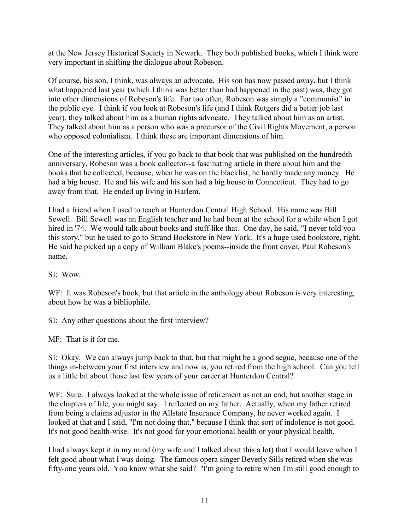at the New Jersey Historical Society in Newark. They both published books, which I think were very important in shifting the dialogue about Robeson.

Of course, his son, I think, was always an advocate. His son has now passed away, but I think what happened last year (which I think was better than had happened in the past) was, they got into other dimensions of Robeson's life. For too often, Robeson was simply a "communist" in the public eye. I think if you look at Robeson's life (and I think Rutgers did a better job last year), they talked about him as a human rights advocate. They talked about him as an artist. They talked about him as a person who was a precursor of the Civil Rights Movement, a person who opposed colonialism. I think these are important dimensions of him.

One of the interesting articles, if you go back to that book that was published on the hundredth anniversary, Robeson was a book collector--a fascinating article in there about him and the books that he collected, because, when he was on the blacklist, he hardly made any money. He had a big house. He and his wife and his son had a big house in Connecticut. They had to go away from that. He ended up living in Harlem.

I had a friend when I used to teach at Hunterdon Central High School. His name was Bill Sewell. Bill Sewell was an English teacher and he had been at the school for a while when I got hired in '74. We would talk about books and stuff like that. One day, he said, "I never told you this story," but he used to go to Strand Bookstore in New York. It's a huge used bookstore, right. He said he picked up a copy of William Blake's poems--inside the front cover, Paul Robeson's name.

SI: Wow.

WF: It was Robeson's book, but that article in the anthology about Robeson is very interesting, about how he was a bibliophile.

SI: Any other questions about the first interview?

MF: That is it for me.

SI: Okay. We can always jump back to that, but that might be a good segue, because one of the things in-between your first interview and now is, you retired from the high school. Can you tell us a little bit about those last few years of your career at Hunterdon Central?

WF: Sure. I always looked at the whole issue of retirement as not an end, but another stage in the chapters of life, you might say. I reflected on my father. Actually, when my father retired from being a claims adjustor in the Allstate Insurance Company, he never worked again. I looked at that and I said, "I'm not doing that," because I think that sort of indolence is not good. It's not good health-wise. It's not good for your emotional health or your physical health.

I had always kept it in my mind (my wife and I talked about this a lot) that I would leave when I felt good about what I was doing. The famous opera singer Beverly Sills retired when she was fifty-one years old. You know what she said? "I'm going to retire when I'm still good enough to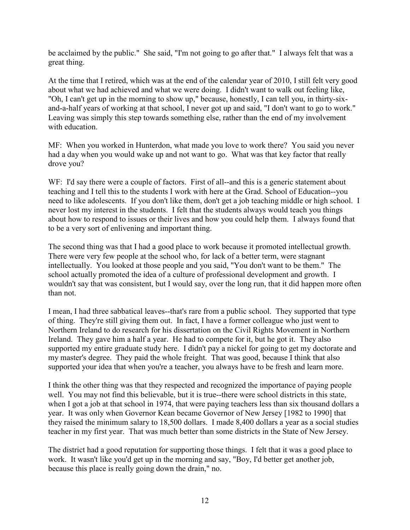be acclaimed by the public." She said, "I'm not going to go after that." I always felt that was a great thing.

At the time that I retired, which was at the end of the calendar year of 2010, I still felt very good about what we had achieved and what we were doing. I didn't want to walk out feeling like, "Oh, I can't get up in the morning to show up," because, honestly, I can tell you, in thirty-sixand-a-half years of working at that school, I never got up and said, "I don't want to go to work." Leaving was simply this step towards something else, rather than the end of my involvement with education.

MF: When you worked in Hunterdon, what made you love to work there? You said you never had a day when you would wake up and not want to go. What was that key factor that really drove you?

WF: I'd say there were a couple of factors. First of all--and this is a generic statement about teaching and I tell this to the students I work with here at the Grad. School of Education--you need to like adolescents. If you don't like them, don't get a job teaching middle or high school. I never lost my interest in the students. I felt that the students always would teach you things about how to respond to issues or their lives and how you could help them. I always found that to be a very sort of enlivening and important thing.

The second thing was that I had a good place to work because it promoted intellectual growth. There were very few people at the school who, for lack of a better term, were stagnant intellectually. You looked at those people and you said, "You don't want to be them." The school actually promoted the idea of a culture of professional development and growth. I wouldn't say that was consistent, but I would say, over the long run, that it did happen more often than not.

I mean, I had three sabbatical leaves--that's rare from a public school. They supported that type of thing. They're still giving them out. In fact, I have a former colleague who just went to Northern Ireland to do research for his dissertation on the Civil Rights Movement in Northern Ireland. They gave him a half a year. He had to compete for it, but he got it. They also supported my entire graduate study here. I didn't pay a nickel for going to get my doctorate and my master's degree. They paid the whole freight. That was good, because I think that also supported your idea that when you're a teacher, you always have to be fresh and learn more.

I think the other thing was that they respected and recognized the importance of paying people well. You may not find this believable, but it is true--there were school districts in this state, when I got a job at that school in 1974, that were paying teachers less than six thousand dollars a year. It was only when Governor Kean became Governor of New Jersey [1982 to 1990] that they raised the minimum salary to 18,500 dollars. I made 8,400 dollars a year as a social studies teacher in my first year. That was much better than some districts in the State of New Jersey.

The district had a good reputation for supporting those things. I felt that it was a good place to work. It wasn't like you'd get up in the morning and say, "Boy, I'd better get another job, because this place is really going down the drain," no.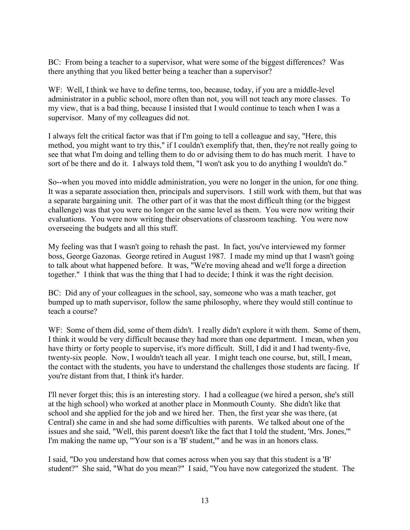BC: From being a teacher to a supervisor, what were some of the biggest differences? Was there anything that you liked better being a teacher than a supervisor?

WF: Well, I think we have to define terms, too, because, today, if you are a middle-level administrator in a public school, more often than not, you will not teach any more classes. To my view, that is a bad thing, because I insisted that I would continue to teach when I was a supervisor. Many of my colleagues did not.

I always felt the critical factor was that if I'm going to tell a colleague and say, "Here, this method, you might want to try this," if I couldn't exemplify that, then, they're not really going to see that what I'm doing and telling them to do or advising them to do has much merit. I have to sort of be there and do it. I always told them, "I won't ask you to do anything I wouldn't do."

So--when you moved into middle administration, you were no longer in the union, for one thing. It was a separate association then, principals and supervisors. I still work with them, but that was a separate bargaining unit. The other part of it was that the most difficult thing (or the biggest challenge) was that you were no longer on the same level as them. You were now writing their evaluations. You were now writing their observations of classroom teaching. You were now overseeing the budgets and all this stuff.

My feeling was that I wasn't going to rehash the past. In fact, you've interviewed my former boss, George Gazonas. George retired in August 1987. I made my mind up that I wasn't going to talk about what happened before. It was, "We're moving ahead and we'll forge a direction together." I think that was the thing that I had to decide; I think it was the right decision.

BC: Did any of your colleagues in the school, say, someone who was a math teacher, got bumped up to math supervisor, follow the same philosophy, where they would still continue to teach a course?

WF: Some of them did, some of them didn't. I really didn't explore it with them. Some of them, I think it would be very difficult because they had more than one department. I mean, when you have thirty or forty people to supervise, it's more difficult. Still, I did it and I had twenty-five, twenty-six people. Now, I wouldn't teach all year. I might teach one course, but, still, I mean, the contact with the students, you have to understand the challenges those students are facing. If you're distant from that, I think it's harder.

I'll never forget this; this is an interesting story. I had a colleague (we hired a person, she's still at the high school) who worked at another place in Monmouth County. She didn't like that school and she applied for the job and we hired her. Then, the first year she was there, (at Central) she came in and she had some difficulties with parents. We talked about one of the issues and she said, "Well, this parent doesn't like the fact that I told the student, 'Mrs. Jones,'" I'm making the name up, "'Your son is a 'B' student,'" and he was in an honors class.

I said, "Do you understand how that comes across when you say that this student is a 'B' student?" She said, "What do you mean?" I said, "You have now categorized the student. The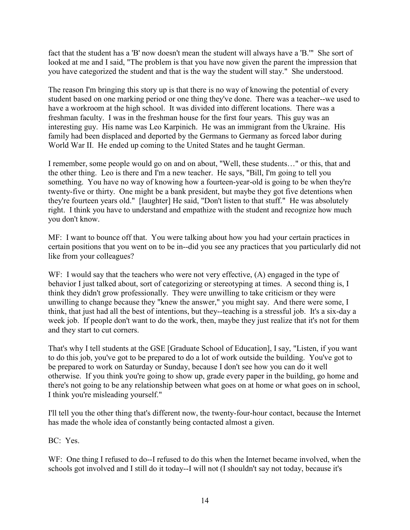fact that the student has a 'B' now doesn't mean the student will always have a 'B.'" She sort of looked at me and I said, "The problem is that you have now given the parent the impression that you have categorized the student and that is the way the student will stay." She understood.

The reason I'm bringing this story up is that there is no way of knowing the potential of every student based on one marking period or one thing they've done. There was a teacher--we used to have a workroom at the high school. It was divided into different locations. There was a freshman faculty. I was in the freshman house for the first four years. This guy was an interesting guy. His name was Leo Karpinich. He was an immigrant from the Ukraine. His family had been displaced and deported by the Germans to Germany as forced labor during World War II. He ended up coming to the United States and he taught German.

I remember, some people would go on and on about, "Well, these students…" or this, that and the other thing. Leo is there and I'm a new teacher. He says, "Bill, I'm going to tell you something. You have no way of knowing how a fourteen-year-old is going to be when they're twenty-five or thirty. One might be a bank president, but maybe they got five detentions when they're fourteen years old." [laughter] He said, "Don't listen to that stuff." He was absolutely right. I think you have to understand and empathize with the student and recognize how much you don't know.

MF: I want to bounce off that. You were talking about how you had your certain practices in certain positions that you went on to be in--did you see any practices that you particularly did not like from your colleagues?

WF: I would say that the teachers who were not very effective, (A) engaged in the type of behavior I just talked about, sort of categorizing or stereotyping at times. A second thing is, I think they didn't grow professionally. They were unwilling to take criticism or they were unwilling to change because they "knew the answer," you might say. And there were some, I think, that just had all the best of intentions, but they--teaching is a stressful job. It's a six-day a week job. If people don't want to do the work, then, maybe they just realize that it's not for them and they start to cut corners.

That's why I tell students at the GSE [Graduate School of Education], I say, "Listen, if you want to do this job, you've got to be prepared to do a lot of work outside the building. You've got to be prepared to work on Saturday or Sunday, because I don't see how you can do it well otherwise. If you think you're going to show up, grade every paper in the building, go home and there's not going to be any relationship between what goes on at home or what goes on in school, I think you're misleading yourself."

I'll tell you the other thing that's different now, the twenty-four-hour contact, because the Internet has made the whole idea of constantly being contacted almost a given.

BC: Yes.

WF: One thing I refused to do--I refused to do this when the Internet became involved, when the schools got involved and I still do it today--I will not (I shouldn't say not today, because it's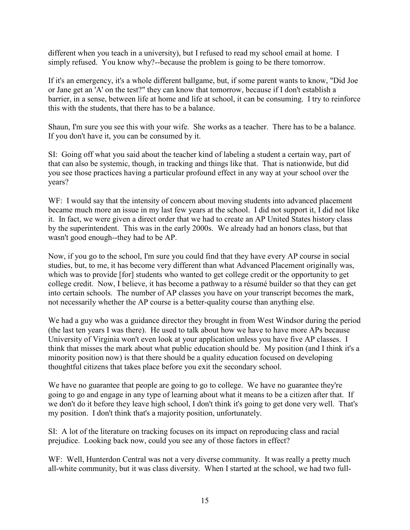different when you teach in a university), but I refused to read my school email at home. I simply refused. You know why?--because the problem is going to be there tomorrow.

If it's an emergency, it's a whole different ballgame, but, if some parent wants to know, "Did Joe or Jane get an 'A' on the test?" they can know that tomorrow, because if I don't establish a barrier, in a sense, between life at home and life at school, it can be consuming. I try to reinforce this with the students, that there has to be a balance.

Shaun, I'm sure you see this with your wife. She works as a teacher. There has to be a balance. If you don't have it, you can be consumed by it.

SI: Going off what you said about the teacher kind of labeling a student a certain way, part of that can also be systemic, though, in tracking and things like that. That is nationwide, but did you see those practices having a particular profound effect in any way at your school over the years?

WF: I would say that the intensity of concern about moving students into advanced placement became much more an issue in my last few years at the school. I did not support it, I did not like it. In fact, we were given a direct order that we had to create an AP United States history class by the superintendent. This was in the early 2000s. We already had an honors class, but that wasn't good enough--they had to be AP.

Now, if you go to the school, I'm sure you could find that they have every AP course in social studies, but, to me, it has become very different than what Advanced Placement originally was, which was to provide [for] students who wanted to get college credit or the opportunity to get college credit. Now, I believe, it has become a pathway to a résumé builder so that they can get into certain schools. The number of AP classes you have on your transcript becomes the mark, not necessarily whether the AP course is a better-quality course than anything else.

We had a guy who was a guidance director they brought in from West Windsor during the period (the last ten years I was there). He used to talk about how we have to have more APs because University of Virginia won't even look at your application unless you have five AP classes. I think that misses the mark about what public education should be. My position (and I think it's a minority position now) is that there should be a quality education focused on developing thoughtful citizens that takes place before you exit the secondary school.

We have no guarantee that people are going to go to college. We have no guarantee they're going to go and engage in any type of learning about what it means to be a citizen after that. If we don't do it before they leave high school, I don't think it's going to get done very well. That's my position. I don't think that's a majority position, unfortunately.

SI: A lot of the literature on tracking focuses on its impact on reproducing class and racial prejudice. Looking back now, could you see any of those factors in effect?

WF: Well, Hunterdon Central was not a very diverse community. It was really a pretty much all-white community, but it was class diversity. When I started at the school, we had two full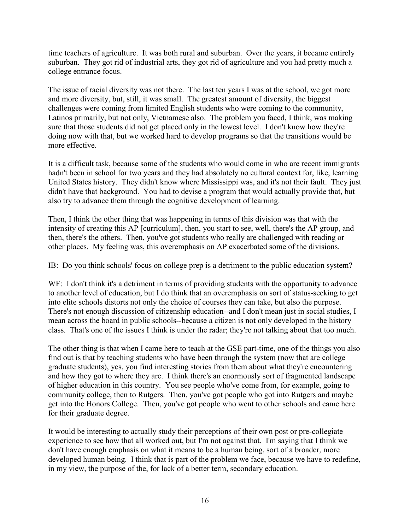time teachers of agriculture. It was both rural and suburban. Over the years, it became entirely suburban. They got rid of industrial arts, they got rid of agriculture and you had pretty much a college entrance focus.

The issue of racial diversity was not there. The last ten years I was at the school, we got more and more diversity, but, still, it was small. The greatest amount of diversity, the biggest challenges were coming from limited English students who were coming to the community, Latinos primarily, but not only, Vietnamese also. The problem you faced, I think, was making sure that those students did not get placed only in the lowest level. I don't know how they're doing now with that, but we worked hard to develop programs so that the transitions would be more effective.

It is a difficult task, because some of the students who would come in who are recent immigrants hadn't been in school for two years and they had absolutely no cultural context for, like, learning United States history. They didn't know where Mississippi was, and it's not their fault. They just didn't have that background. You had to devise a program that would actually provide that, but also try to advance them through the cognitive development of learning.

Then, I think the other thing that was happening in terms of this division was that with the intensity of creating this AP [curriculum], then, you start to see, well, there's the AP group, and then, there's the others. Then, you've got students who really are challenged with reading or other places. My feeling was, this overemphasis on AP exacerbated some of the divisions.

IB: Do you think schools' focus on college prep is a detriment to the public education system?

WF: I don't think it's a detriment in terms of providing students with the opportunity to advance to another level of education, but I do think that an overemphasis on sort of status-seeking to get into elite schools distorts not only the choice of courses they can take, but also the purpose. There's not enough discussion of citizenship education--and I don't mean just in social studies, I mean across the board in public schools--because a citizen is not only developed in the history class. That's one of the issues I think is under the radar; they're not talking about that too much.

The other thing is that when I came here to teach at the GSE part-time, one of the things you also find out is that by teaching students who have been through the system (now that are college graduate students), yes, you find interesting stories from them about what they're encountering and how they got to where they are. I think there's an enormously sort of fragmented landscape of higher education in this country. You see people who've come from, for example, going to community college, then to Rutgers. Then, you've got people who got into Rutgers and maybe get into the Honors College. Then, you've got people who went to other schools and came here for their graduate degree.

It would be interesting to actually study their perceptions of their own post or pre-collegiate experience to see how that all worked out, but I'm not against that. I'm saying that I think we don't have enough emphasis on what it means to be a human being, sort of a broader, more developed human being. I think that is part of the problem we face, because we have to redefine, in my view, the purpose of the, for lack of a better term, secondary education.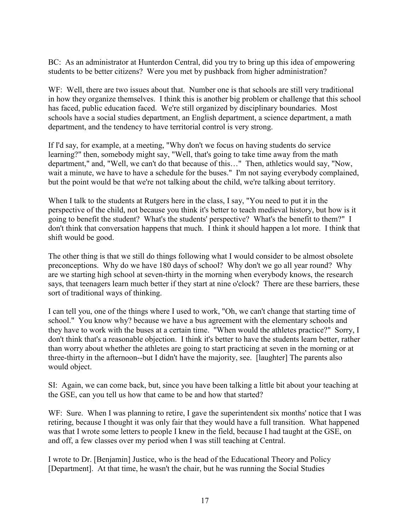BC: As an administrator at Hunterdon Central, did you try to bring up this idea of empowering students to be better citizens? Were you met by pushback from higher administration?

WF: Well, there are two issues about that. Number one is that schools are still very traditional in how they organize themselves. I think this is another big problem or challenge that this school has faced, public education faced. We're still organized by disciplinary boundaries. Most schools have a social studies department, an English department, a science department, a math department, and the tendency to have territorial control is very strong.

If I'd say, for example, at a meeting, "Why don't we focus on having students do service learning?" then, somebody might say, "Well, that's going to take time away from the math department," and, "Well, we can't do that because of this…" Then, athletics would say, "Now, wait a minute, we have to have a schedule for the buses." I'm not saying everybody complained, but the point would be that we're not talking about the child, we're talking about territory.

When I talk to the students at Rutgers here in the class, I say, "You need to put it in the perspective of the child, not because you think it's better to teach medieval history, but how is it going to benefit the student? What's the students' perspective? What's the benefit to them?" I don't think that conversation happens that much. I think it should happen a lot more. I think that shift would be good.

The other thing is that we still do things following what I would consider to be almost obsolete preconceptions. Why do we have 180 days of school? Why don't we go all year round? Why are we starting high school at seven-thirty in the morning when everybody knows, the research says, that teenagers learn much better if they start at nine o'clock? There are these barriers, these sort of traditional ways of thinking.

I can tell you, one of the things where I used to work, "Oh, we can't change that starting time of school." You know why? because we have a bus agreement with the elementary schools and they have to work with the buses at a certain time. "When would the athletes practice?" Sorry, I don't think that's a reasonable objection. I think it's better to have the students learn better, rather than worry about whether the athletes are going to start practicing at seven in the morning or at three-thirty in the afternoon--but I didn't have the majority, see. [laughter] The parents also would object.

SI: Again, we can come back, but, since you have been talking a little bit about your teaching at the GSE, can you tell us how that came to be and how that started?

WF: Sure. When I was planning to retire, I gave the superintendent six months' notice that I was retiring, because I thought it was only fair that they would have a full transition. What happened was that I wrote some letters to people I knew in the field, because I had taught at the GSE, on and off, a few classes over my period when I was still teaching at Central.

I wrote to Dr. [Benjamin] Justice, who is the head of the Educational Theory and Policy [Department]. At that time, he wasn't the chair, but he was running the Social Studies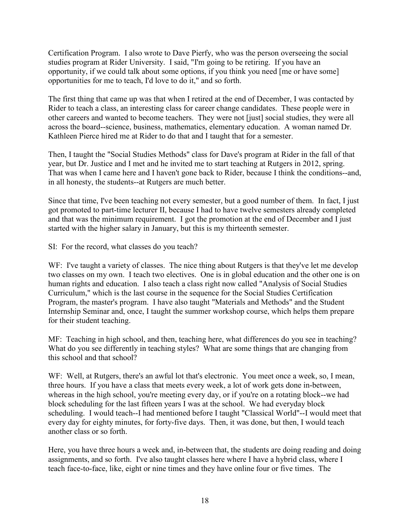Certification Program. I also wrote to Dave Pierfy, who was the person overseeing the social studies program at Rider University. I said, "I'm going to be retiring. If you have an opportunity, if we could talk about some options, if you think you need [me or have some] opportunities for me to teach, I'd love to do it," and so forth.

The first thing that came up was that when I retired at the end of December, I was contacted by Rider to teach a class, an interesting class for career change candidates. These people were in other careers and wanted to become teachers. They were not [just] social studies, they were all across the board--science, business, mathematics, elementary education. A woman named Dr. Kathleen Pierce hired me at Rider to do that and I taught that for a semester.

Then, I taught the "Social Studies Methods" class for Dave's program at Rider in the fall of that year, but Dr. Justice and I met and he invited me to start teaching at Rutgers in 2012, spring. That was when I came here and I haven't gone back to Rider, because I think the conditions--and, in all honesty, the students--at Rutgers are much better.

Since that time, I've been teaching not every semester, but a good number of them. In fact, I just got promoted to part-time lecturer II, because I had to have twelve semesters already completed and that was the minimum requirement. I got the promotion at the end of December and I just started with the higher salary in January, but this is my thirteenth semester.

SI: For the record, what classes do you teach?

WF: I've taught a variety of classes. The nice thing about Rutgers is that they've let me develop two classes on my own. I teach two electives. One is in global education and the other one is on human rights and education. I also teach a class right now called "Analysis of Social Studies Curriculum," which is the last course in the sequence for the Social Studies Certification Program, the master's program. I have also taught "Materials and Methods" and the Student Internship Seminar and, once, I taught the summer workshop course, which helps them prepare for their student teaching.

MF: Teaching in high school, and then, teaching here, what differences do you see in teaching? What do you see differently in teaching styles? What are some things that are changing from this school and that school?

WF: Well, at Rutgers, there's an awful lot that's electronic. You meet once a week, so, I mean, three hours. If you have a class that meets every week, a lot of work gets done in-between, whereas in the high school, you're meeting every day, or if you're on a rotating block--we had block scheduling for the last fifteen years I was at the school. We had everyday block scheduling. I would teach--I had mentioned before I taught "Classical World"--I would meet that every day for eighty minutes, for forty-five days. Then, it was done, but then, I would teach another class or so forth.

Here, you have three hours a week and, in-between that, the students are doing reading and doing assignments, and so forth. I've also taught classes here where I have a hybrid class, where I teach face-to-face, like, eight or nine times and they have online four or five times. The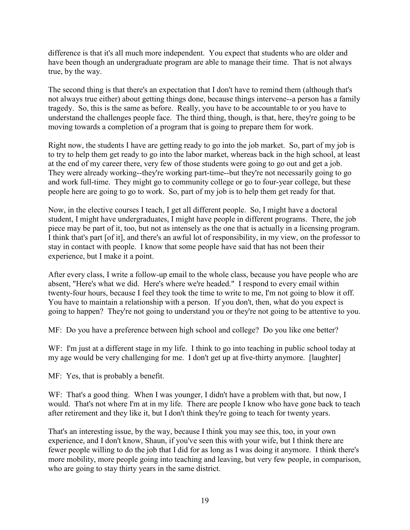difference is that it's all much more independent. You expect that students who are older and have been though an undergraduate program are able to manage their time. That is not always true, by the way.

The second thing is that there's an expectation that I don't have to remind them (although that's not always true either) about getting things done, because things intervene--a person has a family tragedy. So, this is the same as before. Really, you have to be accountable to or you have to understand the challenges people face. The third thing, though, is that, here, they're going to be moving towards a completion of a program that is going to prepare them for work.

Right now, the students I have are getting ready to go into the job market. So, part of my job is to try to help them get ready to go into the labor market, whereas back in the high school, at least at the end of my career there, very few of those students were going to go out and get a job. They were already working--they're working part-time--but they're not necessarily going to go and work full-time. They might go to community college or go to four-year college, but these people here are going to go to work. So, part of my job is to help them get ready for that.

Now, in the elective courses I teach, I get all different people. So, I might have a doctoral student, I might have undergraduates, I might have people in different programs. There, the job piece may be part of it, too, but not as intensely as the one that is actually in a licensing program. I think that's part [of it], and there's an awful lot of responsibility, in my view, on the professor to stay in contact with people. I know that some people have said that has not been their experience, but I make it a point.

After every class, I write a follow-up email to the whole class, because you have people who are absent, "Here's what we did. Here's where we're headed." I respond to every email within twenty-four hours, because I feel they took the time to write to me, I'm not going to blow it off. You have to maintain a relationship with a person. If you don't, then, what do you expect is going to happen? They're not going to understand you or they're not going to be attentive to you.

MF: Do you have a preference between high school and college? Do you like one better?

WF: I'm just at a different stage in my life. I think to go into teaching in public school today at my age would be very challenging for me. I don't get up at five-thirty anymore. [laughter]

MF: Yes, that is probably a benefit.

WF: That's a good thing. When I was younger, I didn't have a problem with that, but now, I would. That's not where I'm at in my life. There are people I know who have gone back to teach after retirement and they like it, but I don't think they're going to teach for twenty years.

That's an interesting issue, by the way, because I think you may see this, too, in your own experience, and I don't know, Shaun, if you've seen this with your wife, but I think there are fewer people willing to do the job that I did for as long as I was doing it anymore. I think there's more mobility, more people going into teaching and leaving, but very few people, in comparison, who are going to stay thirty years in the same district.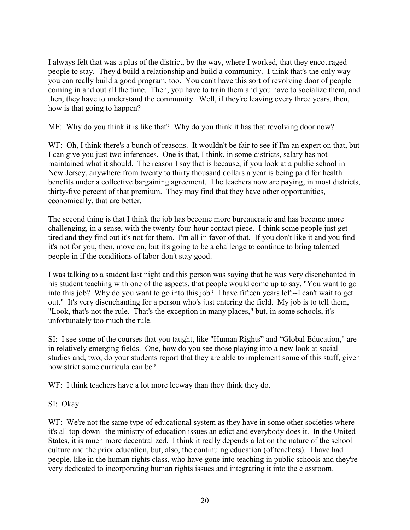I always felt that was a plus of the district, by the way, where I worked, that they encouraged people to stay. They'd build a relationship and build a community. I think that's the only way you can really build a good program, too. You can't have this sort of revolving door of people coming in and out all the time. Then, you have to train them and you have to socialize them, and then, they have to understand the community. Well, if they're leaving every three years, then, how is that going to happen?

MF: Why do you think it is like that? Why do you think it has that revolving door now?

WF: Oh, I think there's a bunch of reasons. It wouldn't be fair to see if I'm an expert on that, but I can give you just two inferences. One is that, I think, in some districts, salary has not maintained what it should. The reason I say that is because, if you look at a public school in New Jersey, anywhere from twenty to thirty thousand dollars a year is being paid for health benefits under a collective bargaining agreement. The teachers now are paying, in most districts, thirty-five percent of that premium. They may find that they have other opportunities, economically, that are better.

The second thing is that I think the job has become more bureaucratic and has become more challenging, in a sense, with the twenty-four-hour contact piece. I think some people just get tired and they find out it's not for them. I'm all in favor of that. If you don't like it and you find it's not for you, then, move on, but it's going to be a challenge to continue to bring talented people in if the conditions of labor don't stay good.

I was talking to a student last night and this person was saying that he was very disenchanted in his student teaching with one of the aspects, that people would come up to say, "You want to go into this job? Why do you want to go into this job? I have fifteen years left--I can't wait to get out." It's very disenchanting for a person who's just entering the field. My job is to tell them, "Look, that's not the rule. That's the exception in many places," but, in some schools, it's unfortunately too much the rule.

SI: I see some of the courses that you taught, like "Human Rights" and "Global Education," are in relatively emerging fields. One, how do you see those playing into a new look at social studies and, two, do your students report that they are able to implement some of this stuff, given how strict some curricula can be?

WF: I think teachers have a lot more leeway than they think they do.

SI: Okay.

WF: We're not the same type of educational system as they have in some other societies where it's all top-down--the ministry of education issues an edict and everybody does it. In the United States, it is much more decentralized. I think it really depends a lot on the nature of the school culture and the prior education, but, also, the continuing education (of teachers). I have had people, like in the human rights class, who have gone into teaching in public schools and they're very dedicated to incorporating human rights issues and integrating it into the classroom.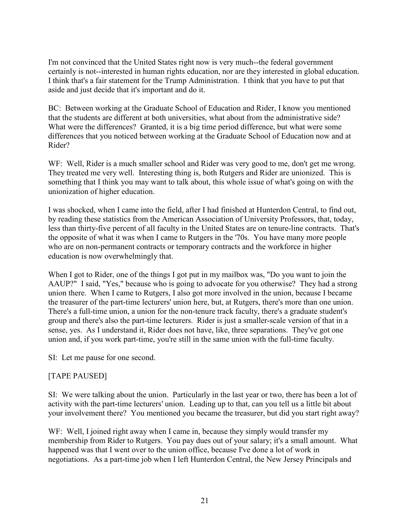I'm not convinced that the United States right now is very much--the federal government certainly is not--interested in human rights education, nor are they interested in global education. I think that's a fair statement for the Trump Administration. I think that you have to put that aside and just decide that it's important and do it.

BC: Between working at the Graduate School of Education and Rider, I know you mentioned that the students are different at both universities, what about from the administrative side? What were the differences? Granted, it is a big time period difference, but what were some differences that you noticed between working at the Graduate School of Education now and at Rider?

WF: Well, Rider is a much smaller school and Rider was very good to me, don't get me wrong. They treated me very well. Interesting thing is, both Rutgers and Rider are unionized. This is something that I think you may want to talk about, this whole issue of what's going on with the unionization of higher education.

I was shocked, when I came into the field, after I had finished at Hunterdon Central, to find out, by reading these statistics from the American Association of University Professors, that, today, less than thirty-five percent of all faculty in the United States are on tenure-line contracts. That's the opposite of what it was when I came to Rutgers in the '70s. You have many more people who are on non-permanent contracts or temporary contracts and the workforce in higher education is now overwhelmingly that.

When I got to Rider, one of the things I got put in my mailbox was, "Do you want to join the AAUP?" I said, "Yes," because who is going to advocate for you otherwise? They had a strong union there. When I came to Rutgers, I also got more involved in the union, because I became the treasurer of the part-time lecturers' union here, but, at Rutgers, there's more than one union. There's a full-time union, a union for the non-tenure track faculty, there's a graduate student's group and there's also the part-time lecturers. Rider is just a smaller-scale version of that in a sense, yes. As I understand it, Rider does not have, like, three separations. They've got one union and, if you work part-time, you're still in the same union with the full-time faculty.

SI: Let me pause for one second.

# [TAPE PAUSED]

SI: We were talking about the union. Particularly in the last year or two, there has been a lot of activity with the part-time lecturers' union. Leading up to that, can you tell us a little bit about your involvement there? You mentioned you became the treasurer, but did you start right away?

WF: Well, I joined right away when I came in, because they simply would transfer my membership from Rider to Rutgers. You pay dues out of your salary; it's a small amount. What happened was that I went over to the union office, because I've done a lot of work in negotiations. As a part-time job when I left Hunterdon Central, the New Jersey Principals and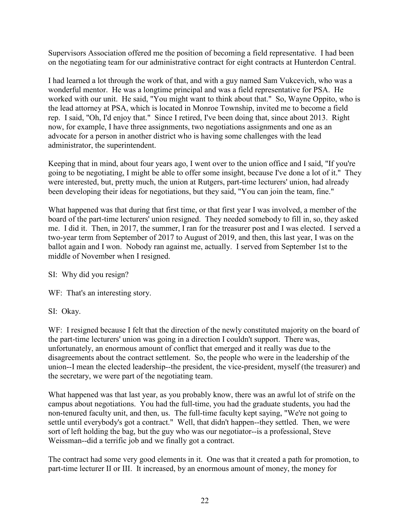Supervisors Association offered me the position of becoming a field representative. I had been on the negotiating team for our administrative contract for eight contracts at Hunterdon Central.

I had learned a lot through the work of that, and with a guy named Sam Vukcevich, who was a wonderful mentor. He was a longtime principal and was a field representative for PSA. He worked with our unit. He said, "You might want to think about that." So, Wayne Oppito, who is the lead attorney at PSA, which is located in Monroe Township, invited me to become a field rep. I said, "Oh, I'd enjoy that." Since I retired, I've been doing that, since about 2013. Right now, for example, I have three assignments, two negotiations assignments and one as an advocate for a person in another district who is having some challenges with the lead administrator, the superintendent.

Keeping that in mind, about four years ago, I went over to the union office and I said, "If you're going to be negotiating, I might be able to offer some insight, because I've done a lot of it." They were interested, but, pretty much, the union at Rutgers, part-time lecturers' union, had already been developing their ideas for negotiations, but they said, "You can join the team, fine."

What happened was that during that first time, or that first year I was involved, a member of the board of the part-time lecturers' union resigned. They needed somebody to fill in, so, they asked me. I did it. Then, in 2017, the summer, I ran for the treasurer post and I was elected. I served a two-year term from September of 2017 to August of 2019, and then, this last year, I was on the ballot again and I won. Nobody ran against me, actually. I served from September 1st to the middle of November when I resigned.

SI: Why did you resign?

WF: That's an interesting story.

SI: Okay.

WF: I resigned because I felt that the direction of the newly constituted majority on the board of the part-time lecturers' union was going in a direction I couldn't support. There was, unfortunately, an enormous amount of conflict that emerged and it really was due to the disagreements about the contract settlement. So, the people who were in the leadership of the union--I mean the elected leadership--the president, the vice-president, myself (the treasurer) and the secretary, we were part of the negotiating team.

What happened was that last year, as you probably know, there was an awful lot of strife on the campus about negotiations. You had the full-time, you had the graduate students, you had the non-tenured faculty unit, and then, us. The full-time faculty kept saying, "We're not going to settle until everybody's got a contract." Well, that didn't happen--they settled. Then, we were sort of left holding the bag, but the guy who was our negotiator--is a professional, Steve Weissman--did a terrific job and we finally got a contract.

The contract had some very good elements in it. One was that it created a path for promotion, to part-time lecturer II or III. It increased, by an enormous amount of money, the money for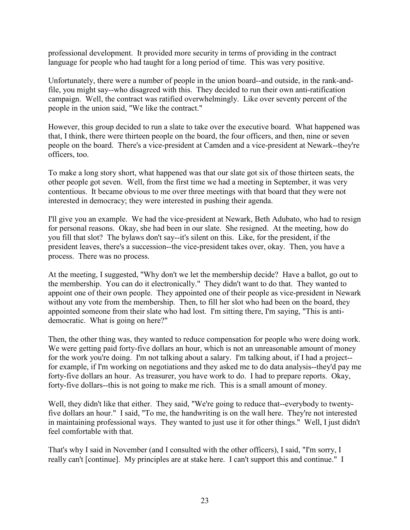professional development. It provided more security in terms of providing in the contract language for people who had taught for a long period of time. This was very positive.

Unfortunately, there were a number of people in the union board--and outside, in the rank-andfile, you might say--who disagreed with this. They decided to run their own anti-ratification campaign. Well, the contract was ratified overwhelmingly. Like over seventy percent of the people in the union said, "We like the contract."

However, this group decided to run a slate to take over the executive board. What happened was that, I think, there were thirteen people on the board, the four officers, and then, nine or seven people on the board. There's a vice-president at Camden and a vice-president at Newark--they're officers, too.

To make a long story short, what happened was that our slate got six of those thirteen seats, the other people got seven. Well, from the first time we had a meeting in September, it was very contentious. It became obvious to me over three meetings with that board that they were not interested in democracy; they were interested in pushing their agenda.

I'll give you an example. We had the vice-president at Newark, Beth Adubato, who had to resign for personal reasons. Okay, she had been in our slate. She resigned. At the meeting, how do you fill that slot? The bylaws don't say--it's silent on this. Like, for the president, if the president leaves, there's a succession--the vice-president takes over, okay. Then, you have a process. There was no process.

At the meeting, I suggested, "Why don't we let the membership decide? Have a ballot, go out to the membership. You can do it electronically." They didn't want to do that. They wanted to appoint one of their own people. They appointed one of their people as vice-president in Newark without any vote from the membership. Then, to fill her slot who had been on the board, they appointed someone from their slate who had lost. I'm sitting there, I'm saying, "This is antidemocratic. What is going on here?"

Then, the other thing was, they wanted to reduce compensation for people who were doing work. We were getting paid forty-five dollars an hour, which is not an unreasonable amount of money for the work you're doing. I'm not talking about a salary. I'm talking about, if I had a project- for example, if I'm working on negotiations and they asked me to do data analysis--they'd pay me forty-five dollars an hour. As treasurer, you have work to do. I had to prepare reports. Okay, forty-five dollars--this is not going to make me rich. This is a small amount of money.

Well, they didn't like that either. They said, "We're going to reduce that--everybody to twentyfive dollars an hour." I said, "To me, the handwriting is on the wall here. They're not interested in maintaining professional ways. They wanted to just use it for other things." Well, I just didn't feel comfortable with that.

That's why I said in November (and I consulted with the other officers), I said, "I'm sorry, I really can't [continue]. My principles are at stake here. I can't support this and continue." I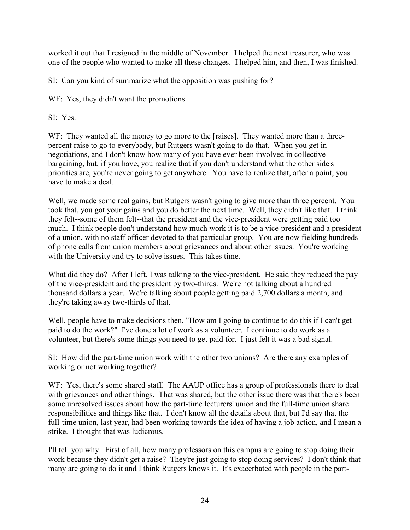worked it out that I resigned in the middle of November. I helped the next treasurer, who was one of the people who wanted to make all these changes. I helped him, and then, I was finished.

SI: Can you kind of summarize what the opposition was pushing for?

WF: Yes, they didn't want the promotions.

SI: Yes.

WF: They wanted all the money to go more to the [raises]. They wanted more than a threepercent raise to go to everybody, but Rutgers wasn't going to do that. When you get in negotiations, and I don't know how many of you have ever been involved in collective bargaining, but, if you have, you realize that if you don't understand what the other side's priorities are, you're never going to get anywhere. You have to realize that, after a point, you have to make a deal.

Well, we made some real gains, but Rutgers wasn't going to give more than three percent. You took that, you got your gains and you do better the next time. Well, they didn't like that. I think they felt--some of them felt--that the president and the vice-president were getting paid too much. I think people don't understand how much work it is to be a vice-president and a president of a union, with no staff officer devoted to that particular group. You are now fielding hundreds of phone calls from union members about grievances and about other issues. You're working with the University and try to solve issues. This takes time.

What did they do? After I left, I was talking to the vice-president. He said they reduced the pay of the vice-president and the president by two-thirds. We're not talking about a hundred thousand dollars a year. We're talking about people getting paid 2,700 dollars a month, and they're taking away two-thirds of that.

Well, people have to make decisions then, "How am I going to continue to do this if I can't get paid to do the work?" I've done a lot of work as a volunteer. I continue to do work as a volunteer, but there's some things you need to get paid for. I just felt it was a bad signal.

SI: How did the part-time union work with the other two unions? Are there any examples of working or not working together?

WF: Yes, there's some shared staff. The AAUP office has a group of professionals there to deal with grievances and other things. That was shared, but the other issue there was that there's been some unresolved issues about how the part-time lecturers' union and the full-time union share responsibilities and things like that. I don't know all the details about that, but I'd say that the full-time union, last year, had been working towards the idea of having a job action, and I mean a strike. I thought that was ludicrous.

I'll tell you why. First of all, how many professors on this campus are going to stop doing their work because they didn't get a raise? They're just going to stop doing services? I don't think that many are going to do it and I think Rutgers knows it. It's exacerbated with people in the part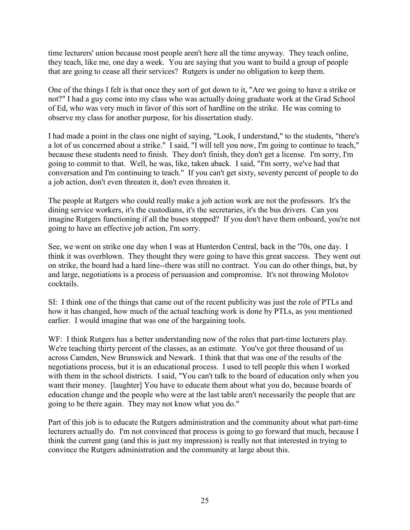time lecturers' union because most people aren't here all the time anyway. They teach online, they teach, like me, one day a week. You are saying that you want to build a group of people that are going to cease all their services? Rutgers is under no obligation to keep them.

One of the things I felt is that once they sort of got down to it, "Are we going to have a strike or not?" I had a guy come into my class who was actually doing graduate work at the Grad School of Ed, who was very much in favor of this sort of hardline on the strike. He was coming to observe my class for another purpose, for his dissertation study.

I had made a point in the class one night of saying, "Look, I understand," to the students, "there's a lot of us concerned about a strike." I said, "I will tell you now, I'm going to continue to teach," because these students need to finish. They don't finish, they don't get a license. I'm sorry, I'm going to commit to that. Well, he was, like, taken aback. I said, "I'm sorry, we've had that conversation and I'm continuing to teach." If you can't get sixty, seventy percent of people to do a job action, don't even threaten it, don't even threaten it.

The people at Rutgers who could really make a job action work are not the professors. It's the dining service workers, it's the custodians, it's the secretaries, it's the bus drivers. Can you imagine Rutgers functioning if all the buses stopped? If you don't have them onboard, you're not going to have an effective job action, I'm sorry.

See, we went on strike one day when I was at Hunterdon Central, back in the '70s, one day. I think it was overblown. They thought they were going to have this great success. They went out on strike, the board had a hard line--there was still no contract. You can do other things, but, by and large, negotiations is a process of persuasion and compromise. It's not throwing Molotov cocktails.

SI: I think one of the things that came out of the recent publicity was just the role of PTLs and how it has changed, how much of the actual teaching work is done by PTLs, as you mentioned earlier. I would imagine that was one of the bargaining tools.

WF: I think Rutgers has a better understanding now of the roles that part-time lecturers play. We're teaching thirty percent of the classes, as an estimate. You've got three thousand of us across Camden, New Brunswick and Newark. I think that that was one of the results of the negotiations process, but it is an educational process. I used to tell people this when I worked with them in the school districts. I said, "You can't talk to the board of education only when you want their money. [laughter] You have to educate them about what you do, because boards of education change and the people who were at the last table aren't necessarily the people that are going to be there again. They may not know what you do."

Part of this job is to educate the Rutgers administration and the community about what part-time lecturers actually do. I'm not convinced that process is going to go forward that much, because I think the current gang (and this is just my impression) is really not that interested in trying to convince the Rutgers administration and the community at large about this.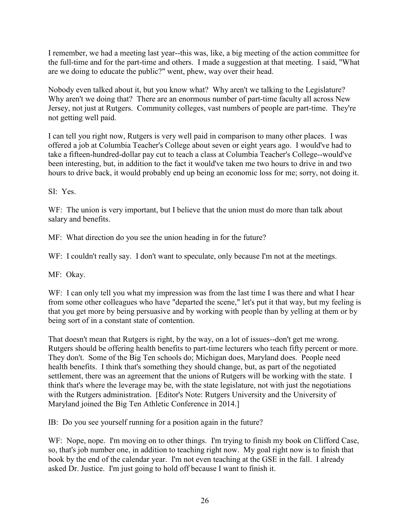I remember, we had a meeting last year--this was, like, a big meeting of the action committee for the full-time and for the part-time and others. I made a suggestion at that meeting. I said, "What are we doing to educate the public?" went, phew, way over their head.

Nobody even talked about it, but you know what? Why aren't we talking to the Legislature? Why aren't we doing that? There are an enormous number of part-time faculty all across New Jersey, not just at Rutgers. Community colleges, vast numbers of people are part-time. They're not getting well paid.

I can tell you right now, Rutgers is very well paid in comparison to many other places. I was offered a job at Columbia Teacher's College about seven or eight years ago. I would've had to take a fifteen-hundred-dollar pay cut to teach a class at Columbia Teacher's College--would've been interesting, but, in addition to the fact it would've taken me two hours to drive in and two hours to drive back, it would probably end up being an economic loss for me; sorry, not doing it.

SI: Yes.

WF: The union is very important, but I believe that the union must do more than talk about salary and benefits.

MF: What direction do you see the union heading in for the future?

WF: I couldn't really say. I don't want to speculate, only because I'm not at the meetings.

MF: Okay.

WF: I can only tell you what my impression was from the last time I was there and what I hear from some other colleagues who have "departed the scene," let's put it that way, but my feeling is that you get more by being persuasive and by working with people than by yelling at them or by being sort of in a constant state of contention.

That doesn't mean that Rutgers is right, by the way, on a lot of issues--don't get me wrong. Rutgers should be offering health benefits to part-time lecturers who teach fifty percent or more. They don't. Some of the Big Ten schools do; Michigan does, Maryland does. People need health benefits. I think that's something they should change, but, as part of the negotiated settlement, there was an agreement that the unions of Rutgers will be working with the state. I think that's where the leverage may be, with the state legislature, not with just the negotiations with the Rutgers administration. [Editor's Note: Rutgers University and the University of Maryland joined the Big Ten Athletic Conference in 2014.]

IB: Do you see yourself running for a position again in the future?

WF: Nope, nope. I'm moving on to other things. I'm trying to finish my book on Clifford Case, so, that's job number one, in addition to teaching right now. My goal right now is to finish that book by the end of the calendar year. I'm not even teaching at the GSE in the fall. I already asked Dr. Justice. I'm just going to hold off because I want to finish it.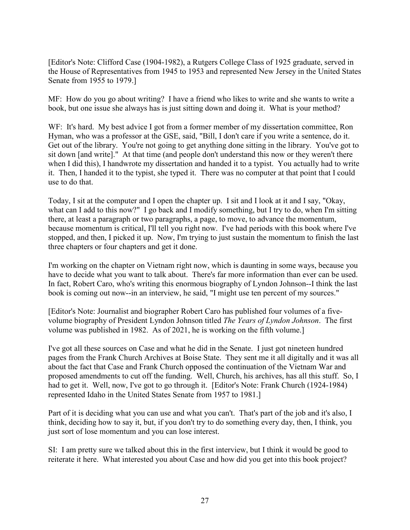[Editor's Note: Clifford Case (1904-1982), a Rutgers College Class of 1925 graduate, served in the House of Representatives from 1945 to 1953 and represented New Jersey in the United States Senate from 1955 to 1979.]

MF: How do you go about writing? I have a friend who likes to write and she wants to write a book, but one issue she always has is just sitting down and doing it. What is your method?

WF: It's hard. My best advice I got from a former member of my dissertation committee, Ron Hyman, who was a professor at the GSE, said, "Bill, I don't care if you write a sentence, do it. Get out of the library. You're not going to get anything done sitting in the library. You've got to sit down [and write]." At that time (and people don't understand this now or they weren't there when I did this), I handwrote my dissertation and handed it to a typist. You actually had to write it. Then, I handed it to the typist, she typed it. There was no computer at that point that I could use to do that.

Today, I sit at the computer and I open the chapter up. I sit and I look at it and I say, "Okay, what can I add to this now?" I go back and I modify something, but I try to do, when I'm sitting there, at least a paragraph or two paragraphs, a page, to move, to advance the momentum, because momentum is critical, I'll tell you right now. I've had periods with this book where I've stopped, and then, I picked it up. Now, I'm trying to just sustain the momentum to finish the last three chapters or four chapters and get it done.

I'm working on the chapter on Vietnam right now, which is daunting in some ways, because you have to decide what you want to talk about. There's far more information than ever can be used. In fact, Robert Caro, who's writing this enormous biography of Lyndon Johnson--I think the last book is coming out now--in an interview, he said, "I might use ten percent of my sources."

[Editor's Note: Journalist and biographer Robert Caro has published four volumes of a fivevolume biography of President Lyndon Johnson titled *The Years of Lyndon Johnson*. The first volume was published in 1982. As of 2021, he is working on the fifth volume.]

I've got all these sources on Case and what he did in the Senate. I just got nineteen hundred pages from the Frank Church Archives at Boise State. They sent me it all digitally and it was all about the fact that Case and Frank Church opposed the continuation of the Vietnam War and proposed amendments to cut off the funding. Well, Church, his archives, has all this stuff. So, I had to get it. Well, now, I've got to go through it. [Editor's Note: Frank Church (1924-1984) represented Idaho in the United States Senate from 1957 to 1981.]

Part of it is deciding what you can use and what you can't. That's part of the job and it's also, I think, deciding how to say it, but, if you don't try to do something every day, then, I think, you just sort of lose momentum and you can lose interest.

SI: I am pretty sure we talked about this in the first interview, but I think it would be good to reiterate it here. What interested you about Case and how did you get into this book project?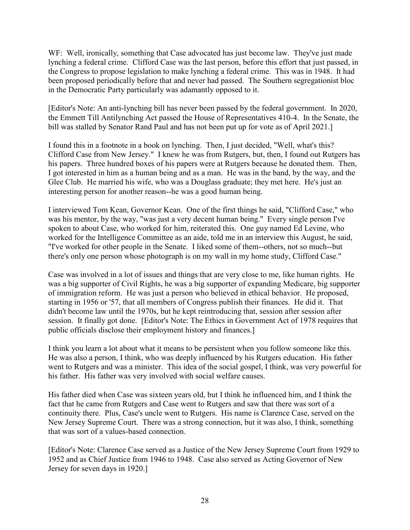WF: Well, ironically, something that Case advocated has just become law. They've just made lynching a federal crime. Clifford Case was the last person, before this effort that just passed, in the Congress to propose legislation to make lynching a federal crime. This was in 1948. It had been proposed periodically before that and never had passed. The Southern segregationist bloc in the Democratic Party particularly was adamantly opposed to it.

[Editor's Note: An anti-lynching bill has never been passed by the federal government. In 2020, the Emmett Till Antilynching Act passed the House of Representatives 410-4. In the Senate, the bill was stalled by Senator Rand Paul and has not been put up for vote as of April 2021.]

I found this in a footnote in a book on lynching. Then, I just decided, "Well, what's this? Clifford Case from New Jersey." I knew he was from Rutgers, but, then, I found out Rutgers has his papers. Three hundred boxes of his papers were at Rutgers because he donated them. Then, I got interested in him as a human being and as a man. He was in the band, by the way, and the Glee Club. He married his wife, who was a Douglass graduate; they met here. He's just an interesting person for another reason--he was a good human being.

I interviewed Tom Kean, Governor Kean. One of the first things he said, "Clifford Case," who was his mentor, by the way, "was just a very decent human being." Every single person I've spoken to about Case, who worked for him, reiterated this. One guy named Ed Levine, who worked for the Intelligence Committee as an aide, told me in an interview this August, he said, "I've worked for other people in the Senate. I liked some of them--others, not so much--but there's only one person whose photograph is on my wall in my home study, Clifford Case."

Case was involved in a lot of issues and things that are very close to me, like human rights. He was a big supporter of Civil Rights, he was a big supporter of expanding Medicare, big supporter of immigration reform. He was just a person who believed in ethical behavior. He proposed, starting in 1956 or '57, that all members of Congress publish their finances. He did it. That didn't become law until the 1970s, but he kept reintroducing that, session after session after session. It finally got done. [Editor's Note: The Ethics in Government Act of 1978 requires that public officials disclose their employment history and finances.]

I think you learn a lot about what it means to be persistent when you follow someone like this. He was also a person, I think, who was deeply influenced by his Rutgers education. His father went to Rutgers and was a minister. This idea of the social gospel, I think, was very powerful for his father. His father was very involved with social welfare causes.

His father died when Case was sixteen years old, but I think he influenced him, and I think the fact that he came from Rutgers and Case went to Rutgers and saw that there was sort of a continuity there. Plus, Case's uncle went to Rutgers. His name is Clarence Case, served on the New Jersey Supreme Court. There was a strong connection, but it was also, I think, something that was sort of a values-based connection.

[Editor's Note: Clarence Case served as a Justice of the New Jersey Supreme Court from 1929 to 1952 and as Chief Justice from 1946 to 1948. Case also served as Acting Governor of New Jersey for seven days in 1920.]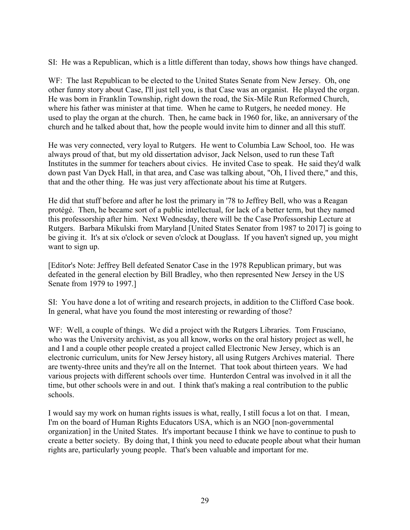SI: He was a Republican, which is a little different than today, shows how things have changed.

WF: The last Republican to be elected to the United States Senate from New Jersey. Oh, one other funny story about Case, I'll just tell you, is that Case was an organist. He played the organ. He was born in Franklin Township, right down the road, the Six-Mile Run Reformed Church, where his father was minister at that time. When he came to Rutgers, he needed money. He used to play the organ at the church. Then, he came back in 1960 for, like, an anniversary of the church and he talked about that, how the people would invite him to dinner and all this stuff.

He was very connected, very loyal to Rutgers. He went to Columbia Law School, too. He was always proud of that, but my old dissertation advisor, Jack Nelson, used to run these Taft Institutes in the summer for teachers about civics. He invited Case to speak. He said they'd walk down past Van Dyck Hall, in that area, and Case was talking about, "Oh, I lived there," and this, that and the other thing. He was just very affectionate about his time at Rutgers.

He did that stuff before and after he lost the primary in '78 to Jeffrey Bell, who was a Reagan protégé. Then, he became sort of a public intellectual, for lack of a better term, but they named this professorship after him. Next Wednesday, there will be the Case Professorship Lecture at Rutgers. Barbara Mikulski from Maryland [United States Senator from 1987 to 2017] is going to be giving it. It's at six o'clock or seven o'clock at Douglass. If you haven't signed up, you might want to sign up.

[Editor's Note: Jeffrey Bell defeated Senator Case in the 1978 Republican primary, but was defeated in the general election by Bill Bradley, who then represented New Jersey in the US Senate from 1979 to 1997.]

SI: You have done a lot of writing and research projects, in addition to the Clifford Case book. In general, what have you found the most interesting or rewarding of those?

WF: Well, a couple of things. We did a project with the Rutgers Libraries. Tom Frusciano, who was the University archivist, as you all know, works on the oral history project as well, he and I and a couple other people created a project called Electronic New Jersey, which is an electronic curriculum, units for New Jersey history, all using Rutgers Archives material. There are twenty-three units and they're all on the Internet. That took about thirteen years. We had various projects with different schools over time. Hunterdon Central was involved in it all the time, but other schools were in and out. I think that's making a real contribution to the public schools.

I would say my work on human rights issues is what, really, I still focus a lot on that. I mean, I'm on the board of Human Rights Educators USA, which is an NGO [non-governmental organization] in the United States. It's important because I think we have to continue to push to create a better society. By doing that, I think you need to educate people about what their human rights are, particularly young people. That's been valuable and important for me.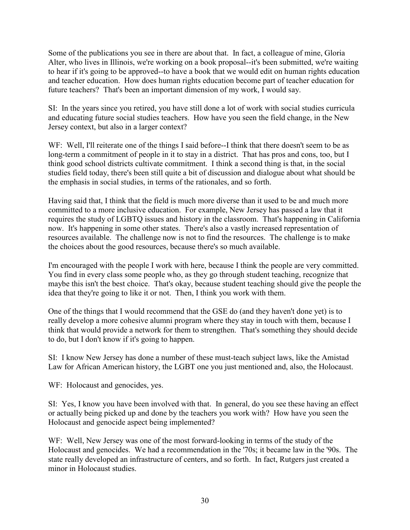Some of the publications you see in there are about that. In fact, a colleague of mine, Gloria Alter, who lives in Illinois, we're working on a book proposal--it's been submitted, we're waiting to hear if it's going to be approved--to have a book that we would edit on human rights education and teacher education. How does human rights education become part of teacher education for future teachers? That's been an important dimension of my work, I would say.

SI: In the years since you retired, you have still done a lot of work with social studies curricula and educating future social studies teachers. How have you seen the field change, in the New Jersey context, but also in a larger context?

WF: Well, I'll reiterate one of the things I said before--I think that there doesn't seem to be as long-term a commitment of people in it to stay in a district. That has pros and cons, too, but I think good school districts cultivate commitment. I think a second thing is that, in the social studies field today, there's been still quite a bit of discussion and dialogue about what should be the emphasis in social studies, in terms of the rationales, and so forth.

Having said that, I think that the field is much more diverse than it used to be and much more committed to a more inclusive education. For example, New Jersey has passed a law that it requires the study of LGBTQ issues and history in the classroom. That's happening in California now. It's happening in some other states. There's also a vastly increased representation of resources available. The challenge now is not to find the resources. The challenge is to make the choices about the good resources, because there's so much available.

I'm encouraged with the people I work with here, because I think the people are very committed. You find in every class some people who, as they go through student teaching, recognize that maybe this isn't the best choice. That's okay, because student teaching should give the people the idea that they're going to like it or not. Then, I think you work with them.

One of the things that I would recommend that the GSE do (and they haven't done yet) is to really develop a more cohesive alumni program where they stay in touch with them, because I think that would provide a network for them to strengthen. That's something they should decide to do, but I don't know if it's going to happen.

SI: I know New Jersey has done a number of these must-teach subject laws, like the Amistad Law for African American history, the LGBT one you just mentioned and, also, the Holocaust.

WF: Holocaust and genocides, yes.

SI: Yes, I know you have been involved with that. In general, do you see these having an effect or actually being picked up and done by the teachers you work with? How have you seen the Holocaust and genocide aspect being implemented?

WF: Well, New Jersey was one of the most forward-looking in terms of the study of the Holocaust and genocides. We had a recommendation in the '70s; it became law in the '90s. The state really developed an infrastructure of centers, and so forth. In fact, Rutgers just created a minor in Holocaust studies.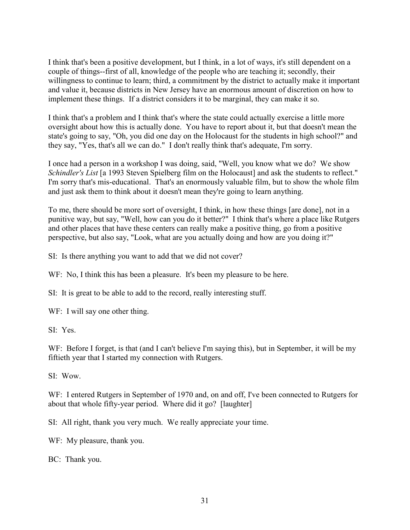I think that's been a positive development, but I think, in a lot of ways, it's still dependent on a couple of things--first of all, knowledge of the people who are teaching it; secondly, their willingness to continue to learn; third, a commitment by the district to actually make it important and value it, because districts in New Jersey have an enormous amount of discretion on how to implement these things. If a district considers it to be marginal, they can make it so.

I think that's a problem and I think that's where the state could actually exercise a little more oversight about how this is actually done. You have to report about it, but that doesn't mean the state's going to say, "Oh, you did one day on the Holocaust for the students in high school?" and they say, "Yes, that's all we can do." I don't really think that's adequate, I'm sorry.

I once had a person in a workshop I was doing, said, "Well, you know what we do? We show *Schindler's List* [a 1993 Steven Spielberg film on the Holocaust] and ask the students to reflect." I'm sorry that's mis-educational. That's an enormously valuable film, but to show the whole film and just ask them to think about it doesn't mean they're going to learn anything.

To me, there should be more sort of oversight, I think, in how these things [are done], not in a punitive way, but say, "Well, how can you do it better?" I think that's where a place like Rutgers and other places that have these centers can really make a positive thing, go from a positive perspective, but also say, "Look, what are you actually doing and how are you doing it?"

SI: Is there anything you want to add that we did not cover?

WF: No, I think this has been a pleasure. It's been my pleasure to be here.

SI: It is great to be able to add to the record, really interesting stuff.

WF: I will say one other thing.

SI: Yes.

WF: Before I forget, is that (and I can't believe I'm saying this), but in September, it will be my fiftieth year that I started my connection with Rutgers.

SI: Wow.

WF: I entered Rutgers in September of 1970 and, on and off, I've been connected to Rutgers for about that whole fifty-year period. Where did it go? [laughter]

SI: All right, thank you very much. We really appreciate your time.

WF: My pleasure, thank you.

BC: Thank you.